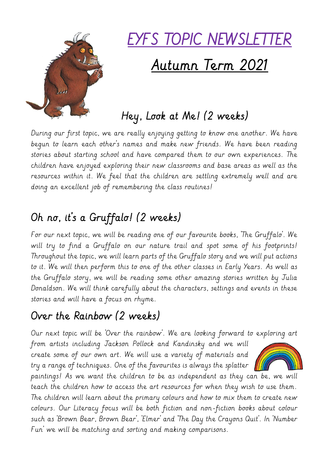

# EYFS TOPIC NEWSLETTER Autumn Term 2021

## Hey, Look at Me! (2 weeks)

During our first topic, we are really enjoying getting to know one another. We have begun to learn each other's names and make new friends. We have been reading stories about starting school and have compared them to our own experiences. The children have enjoyed exploring their new classrooms and base areas as well as the resources within it. We feel that the children are settling extremely well and are doing an excellent job of remembering the class routines!

# Oh no, it's a Gruffalo! (2 weeks)

For our next topic, we will be reading one of our favourite books, 'The Gruffalo'. We will try to find a Gruffalo on our nature trail and spot some of his footprints! Throughout the topic, we will learn parts of the Gruffalo story and we will put actions to it. We will then perform this to one of the other classes in Early Years. As well as the Gruffalo story, we will be reading some other amazing stories written by Julia Donaldson. We will think carefully about the characters, settings and events in these stories and will have a focus on rhyme.

### Over the Rainbow (2 weeks)

Our next topic will be 'Over the rainbow'. We are looking forward to exploring art

from artists including Jackson Pollock and Kandinsky and we will create some of our own art. We will use a variety of materials and try a range of techniques. One of the favourites is always the splatter  $\|$ 



paintings! As we want the children to be as independent as they can be, we will teach the children how to access the art resources for when they wish to use them. The children will learn about the primary colours and how to mix them to create new colours. Our Literacy focus will be both fiction and non-fiction books about colour such as 'Brown Bear, Brown Bear', 'Elmer' and 'The Day the Crayons Quit'. In 'Number Fun' we will be matching and sorting and making comparisons.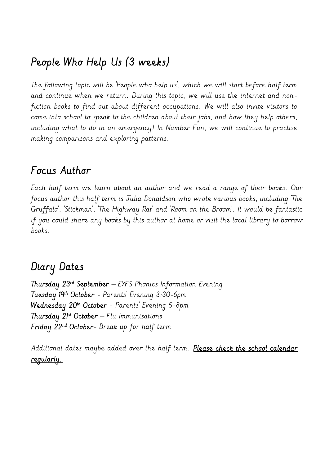#### People Who Help Us (3 weeks)

The following topic will be 'People who help us', which we will start before half term and continue when we return. During this topic, we will use the internet and nonfiction books to find out about different occupations. We will also invite visitors to come into school to speak to the children about their jobs, and how they help others, including what to do in an emergency! In Number Fun, we will continue to practise making comparisons and exploring patterns.

#### Focus Author

Each half term we learn about an author and we read a range of their books. Our focus author this half term is Julia Donaldson who wrote various books, including 'The Gruffalo', 'Stickman', 'The Highway Rat' and 'Room on the Broom'. It would be fantastic if you could share any books by this author at home or visit the local library to borrow books.

#### Diary Dates

Thursday 23rd September – EYFS Phonics Information Evening Tuesday 19th October - Parents' Evening 3:30-6pm Wednesday 20th October - Parents' Evening 5-8pm Thursday 21st October – Flu Immunisations Friday 22nd October- Break up for half term

Additional dates maybe added over the half term. Please check the school calendar regularly.